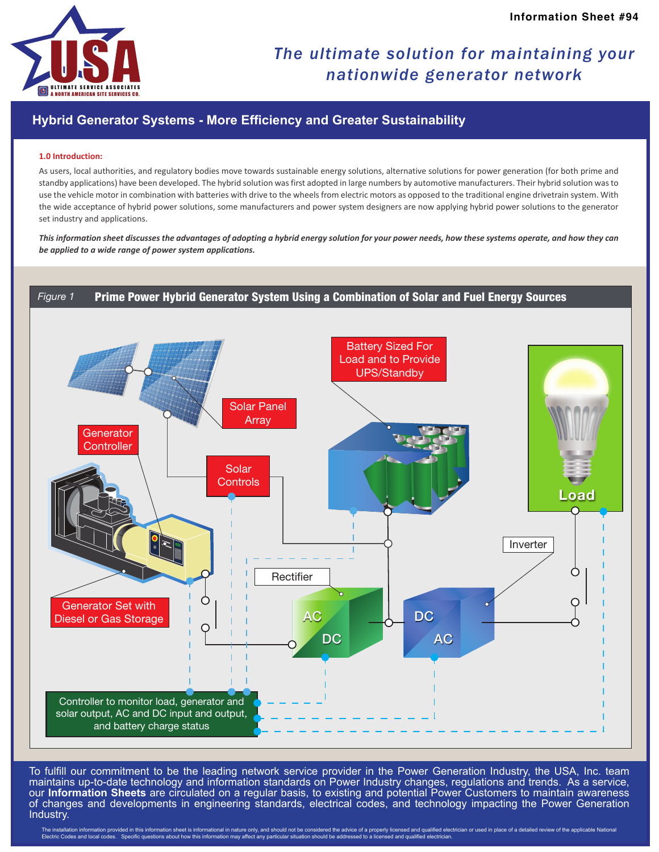

## *The ultimate solution for maintaining your nationwide generator network*

### **Hybrid Generator Systems - More Efficiency and Greater Sustainability**

#### **1.0 Introduction:**

As users, local authorities, and regulatory bodies move towards sustainable energy solutions, alternative solutions for power generation (for both prime and standby applications) have been developed. The hybrid solution was first adopted in large numbers by automotive manufacturers. Their hybrid solution was to use the vehicle motor in combination with batteries with drive to the wheels from electric motors as opposed to the traditional engine drivetrain system. With the wide acceptance of hybrid power solutions, some manufacturers and power system designers are now applying hybrid power solutions to the generator set industry and applications.

*This information sheet discusses the advantages of adopting a hybrid energy solution for your power needs, how these systems operate, and how they can be applied to a wide range of power system applications.*



To fulfill our commitment to be the leading network service provider in the Power Generation Industry, the USA, Inc. team maintains up-to-date technology and information standards on Power Industry changes, regulations and trends. As a service, our **Information Sheets** are circulated on a regular basis, to existing and potential Power Customers to maintain awareness of changes and developments in engineering standards, electrical codes, and technology impacting the Power Generation Industry.